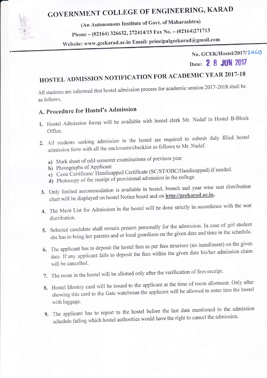

# GOVERNMENT COLLEGE OF ENGINEERING, KARAD

(An Autonomous Institute of Govt. of Maharashtra)

Phone - (02164) 326632, 272414/15 Fax No. - (02164)271713

Website: www.gcekarad.ac.in Email: principalgcekarad@gmail.com

No. GCEK/Hostel/2017/24G9 Date: 2 8 JUN 2017

# HOSTEL ADMISSION NOTIFICATION FOR ACADEMIC YEAR 2017-18

A11 students are informed that hostel admission process for academic session 2017-2018 shail be as follows,

### A. Procedure for Hostel's Admission

- 1. Hostel Admission forms will be available with hostel clerk Mr. Nadaf in Hostel B-Block Office.
- 2. All students seeking admission in the hostel are required to submit duly filled hostel admission form with all the enclosures/checklist as follows to Mr. Nadaf.
	- a) Mark sheet of odd semester examinations of previous year<br>b) Photographs of Applicant
	-
	- b) Photographs of Applicant<br>
	c) Caste Certificate/ Handicapped Certificate (SC/ST/OBC/Handicapped) if needed.
	- d) Photocopy of the receipt of provisional admission in the college
- 3. Only limited accommodation is available in hostel, branch and year wise seat distribution chart will be displayed on hostel Notice board and on http://gcekarad.ac.in.
- 4. The Merit List for Admission in the hostel will be done strictly in accordance with the seat
- distribution.<br>5. Selected candidate shall remain present personally for the admission. In case of girl student 5. Selected candidate shall remain present personally for the circum date and time in the schedu she has to bring her parents and or local guardians on the given the solution
- 6. The applicant has to deposit the hostel fees as perfects of  $\frac{1}{2}$  in the given data his/her admission cla date. If any applicant fails to deposit the first within the given and leads will be cancelled.
- 
- 7. The room in the hostel will be allotted only after the verification of fees receipt.<br>8. Hostel Identity card will be issued to the applicant at the time of room allotment. Only after S. Hostel Identity card will be issued to the applicant at the time of the served to enter into the ho showing this card to the Gate watchman the applicant will be allowed with luggage.
- 9. The applicant has to report to the hostel before the last date mentioned in the admission schedule failing which hostel authorities would have the right to cancel the admission.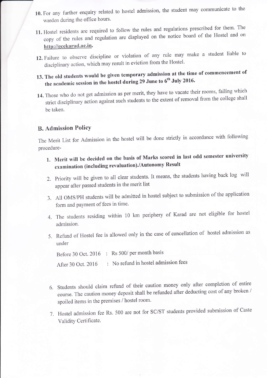- 10. For any further enquiry related to hostel admission, the student may communicate to the warden during the office hours.
- 11. Hostel residents are required to follow the rules and regulations prescribed for them' The copy of the rules and regulation are displayed on the notice board of the Hostel and on<br>http://gcekarad.ac.in.
- 12. Failure to observe discipline or violation of any rule may make a student liable to disciplinary action, which may result in eviction from the Hostel.
- 13. The old students would be given temporary admission at the time of commencement of the academic session in the hostel during 29 June to 6<sup>th</sup> July 2016.
- 14. Those who do not get admission as per merit, they have to vacate their rooms, failing which strict disciplinary action against such students to the extent of removal from the college shall be taken.

#### B. Admission PolicY

The Merit List for Admission in the hostel will be done strictly in accordance with following procedure-

- 1. Merit will be decided on the basis of Marks scored in last odd semester university examination (including revaluation)./Autonomy Result
- 2. Priority will be given to all clear students. It means, the students having back log will appear after passed students in the merit list
- 3. All OMS/PH students will be admitted in hostel subject to submission of the application form and payment of fees in time.
- 4. The students residing within 10 km periphery of Karad are not eligible for hostel admission.
- 5. Refund of Hostel fee is allowed only in the case of cancellation of hostel admission as under

Before 30 Oct. 2016 : Rs 500/ per month basis

After 30 Oct. 2016 : No refund in hostel admission fees

- 6. Students should claim retund of their caution money only after completion of entire course. The caution money deposit shall be refunded after deducting cost of any broken / spoiled items in the premises / hostel room.
- 7. Hostel admission fee Rs. 500 are not for SC/ST students provided submission of Eq. Validity Certificate.